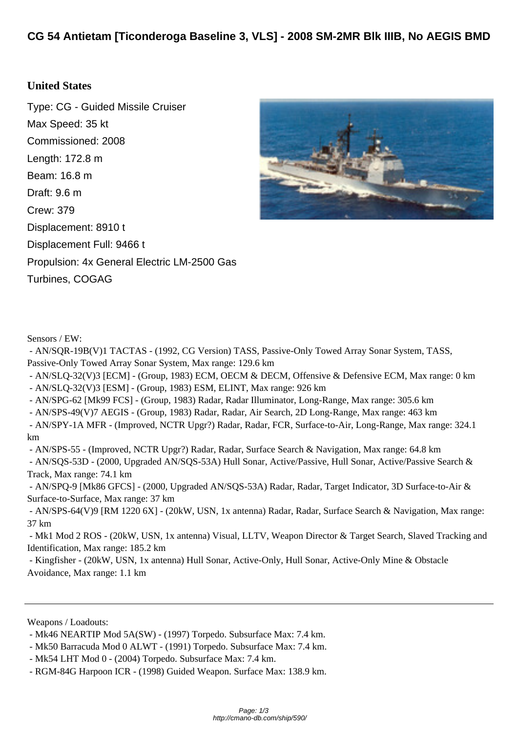## **[United States](http://cmano-db.com/ship/590/)**

Type: CG - Guided Missile Cruiser Max Speed: 35 kt Commissioned: 2008 Length: 172.8 m Beam: 16.8 m Draft: 9.6 m Crew: 379 Displacement: 8910 t Displacement Full: 9466 t Propulsion: 4x General Electric LM-2500 Gas Turbines, COGAG



Sensors / EW:

 - AN/SQR-19B(V)1 TACTAS - (1992, CG Version) TASS, Passive-Only Towed Array Sonar System, TASS, Passive-Only Towed Array Sonar System, Max range: 129.6 km

 - AN/SLQ-32(V)3 [ECM] - (Group, 1983) ECM, OECM & DECM, Offensive & Defensive ECM, Max range: 0 km - AN/SLQ-32(V)3 [ESM] - (Group, 1983) ESM, ELINT, Max range: 926 km

- AN/SPG-62 [Mk99 FCS] - (Group, 1983) Radar, Radar Illuminator, Long-Range, Max range: 305.6 km

- AN/SPS-49(V)7 AEGIS - (Group, 1983) Radar, Radar, Air Search, 2D Long-Range, Max range: 463 km

 - AN/SPY-1A MFR - (Improved, NCTR Upgr?) Radar, Radar, FCR, Surface-to-Air, Long-Range, Max range: 324.1 km

 - AN/SPS-55 - (Improved, NCTR Upgr?) Radar, Radar, Surface Search & Navigation, Max range: 64.8 km - AN/SQS-53D - (2000, Upgraded AN/SQS-53A) Hull Sonar, Active/Passive, Hull Sonar, Active/Passive Search & Track, Max range: 74.1 km

 - AN/SPQ-9 [Mk86 GFCS] - (2000, Upgraded AN/SQS-53A) Radar, Radar, Target Indicator, 3D Surface-to-Air & Surface-to-Surface, Max range: 37 km

 - AN/SPS-64(V)9 [RM 1220 6X] - (20kW, USN, 1x antenna) Radar, Radar, Surface Search & Navigation, Max range: 37 km

 - Mk1 Mod 2 ROS - (20kW, USN, 1x antenna) Visual, LLTV, Weapon Director & Target Search, Slaved Tracking and Identification, Max range: 185.2 km

 - Kingfisher - (20kW, USN, 1x antenna) Hull Sonar, Active-Only, Hull Sonar, Active-Only Mine & Obstacle Avoidance, Max range: 1.1 km

Weapons / Loadouts:

 <sup>-</sup> Mk46 NEARTIP Mod 5A(SW) - (1997) Torpedo. Subsurface Max: 7.4 km.

 <sup>-</sup> Mk50 Barracuda Mod 0 ALWT - (1991) Torpedo. Subsurface Max: 7.4 km.

 <sup>-</sup> Mk54 LHT Mod 0 - (2004) Torpedo. Subsurface Max: 7.4 km.

 <sup>-</sup> RGM-84G Harpoon ICR - (1998) Guided Weapon. Surface Max: 138.9 km.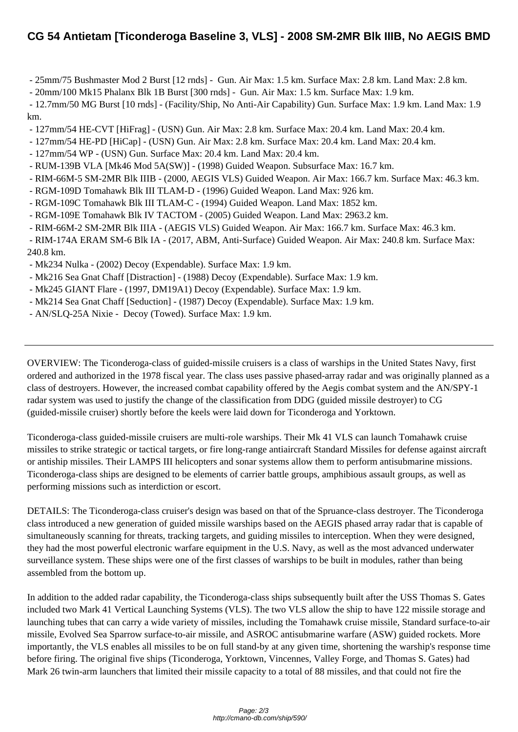[- 25mm/75 Bushmaster Mod 2 Burst \[12 rnds\] - Gun. Air Max: 1.5 km. Surface Max: 2.8 km. Land Max: 2.8 km.](http://cmano-db.com/ship/590/) 

- 20mm/100 Mk15 Phalanx Blk 1B Burst [300 rnds] - Gun. Air Max: 1.5 km. Surface Max: 1.9 km.

 - 12.7mm/50 MG Burst [10 rnds] - (Facility/Ship, No Anti-Air Capability) Gun. Surface Max: 1.9 km. Land Max: 1.9 km.

- 127mm/54 HE-CVT [HiFrag] - (USN) Gun. Air Max: 2.8 km. Surface Max: 20.4 km. Land Max: 20.4 km.

- 127mm/54 HE-PD [HiCap] - (USN) Gun. Air Max: 2.8 km. Surface Max: 20.4 km. Land Max: 20.4 km.

- 127mm/54 WP - (USN) Gun. Surface Max: 20.4 km. Land Max: 20.4 km.

- RUM-139B VLA [Mk46 Mod 5A(SW)] (1998) Guided Weapon. Subsurface Max: 16.7 km.
- RIM-66M-5 SM-2MR Blk IIIB (2000, AEGIS VLS) Guided Weapon. Air Max: 166.7 km. Surface Max: 46.3 km.
- RGM-109D Tomahawk Blk III TLAM-D (1996) Guided Weapon. Land Max: 926 km.
- RGM-109C Tomahawk Blk III TLAM-C (1994) Guided Weapon. Land Max: 1852 km.
- RGM-109E Tomahawk Blk IV TACTOM (2005) Guided Weapon. Land Max: 2963.2 km.
- RIM-66M-2 SM-2MR Blk IIIA (AEGIS VLS) Guided Weapon. Air Max: 166.7 km. Surface Max: 46.3 km.

 - RIM-174A ERAM SM-6 Blk IA - (2017, ABM, Anti-Surface) Guided Weapon. Air Max: 240.8 km. Surface Max: 240.8 km.

- Mk234 Nulka (2002) Decoy (Expendable). Surface Max: 1.9 km.
- Mk216 Sea Gnat Chaff [Distraction] (1988) Decoy (Expendable). Surface Max: 1.9 km.
- Mk245 GIANT Flare (1997, DM19A1) Decoy (Expendable). Surface Max: 1.9 km.
- Mk214 Sea Gnat Chaff [Seduction] (1987) Decoy (Expendable). Surface Max: 1.9 km.
- AN/SLQ-25A Nixie Decoy (Towed). Surface Max: 1.9 km.

OVERVIEW: The Ticonderoga-class of guided-missile cruisers is a class of warships in the United States Navy, first ordered and authorized in the 1978 fiscal year. The class uses passive phased-array radar and was originally planned as a class of destroyers. However, the increased combat capability offered by the Aegis combat system and the AN/SPY-1 radar system was used to justify the change of the classification from DDG (guided missile destroyer) to CG (guided-missile cruiser) shortly before the keels were laid down for Ticonderoga and Yorktown.

Ticonderoga-class guided-missile cruisers are multi-role warships. Their Mk 41 VLS can launch Tomahawk cruise missiles to strike strategic or tactical targets, or fire long-range antiaircraft Standard Missiles for defense against aircraft or antiship missiles. Their LAMPS III helicopters and sonar systems allow them to perform antisubmarine missions. Ticonderoga-class ships are designed to be elements of carrier battle groups, amphibious assault groups, as well as performing missions such as interdiction or escort.

DETAILS: The Ticonderoga-class cruiser's design was based on that of the Spruance-class destroyer. The Ticonderoga class introduced a new generation of guided missile warships based on the AEGIS phased array radar that is capable of simultaneously scanning for threats, tracking targets, and guiding missiles to interception. When they were designed, they had the most powerful electronic warfare equipment in the U.S. Navy, as well as the most advanced underwater surveillance system. These ships were one of the first classes of warships to be built in modules, rather than being assembled from the bottom up.

In addition to the added radar capability, the Ticonderoga-class ships subsequently built after the USS Thomas S. Gates included two Mark 41 Vertical Launching Systems (VLS). The two VLS allow the ship to have 122 missile storage and launching tubes that can carry a wide variety of missiles, including the Tomahawk cruise missile, Standard surface-to-air missile, Evolved Sea Sparrow surface-to-air missile, and ASROC antisubmarine warfare (ASW) guided rockets. More importantly, the VLS enables all missiles to be on full stand-by at any given time, shortening the warship's response time before firing. The original five ships (Ticonderoga, Yorktown, Vincennes, Valley Forge, and Thomas S. Gates) had Mark 26 twin-arm launchers that limited their missile capacity to a total of 88 missiles, and that could not fire the